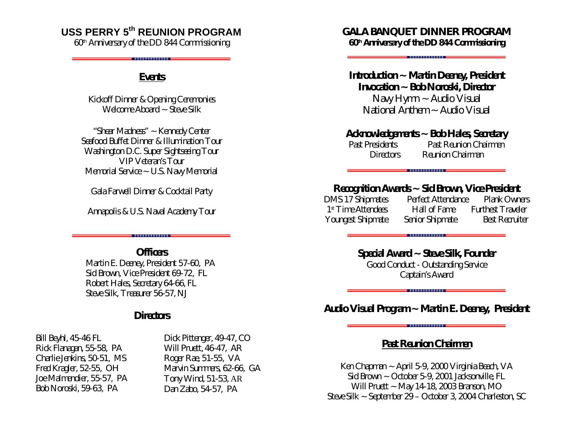# **USS PERRY 5th REUNION PROGRAM**

*60th Anniversary of the DD 844 Commissioning*

#### *Events*

*Kickoff Dinner & Opening Ceremonies Welcome Aboard ~ Steve Silk*

"Shear Madness" ~ Kennedy Center Seafood Buffet Dinner & Illumination Tour Washington D.C. Super Sightseeing Tour VIP Veteran's Tour Memorial Service ~ U.S. Navy Memorial

Gala Farwell Dinner & Cocktail Party

Annapolis & U.S. Naval Academy Tour

. . . . . . . . . . . . . . . . . . .

**Officers** Martin E. Deeney, President 57-60, PA Sid Brown, Vice President 69-72, FL Robert Hales, Secretary 64-66, FL Steve Silk, Treasurer 56-57, NJ

### **Directors**

Bill Beyhl, 45-46 FL Rick Flanagan, 55-58, PA Charlie Jenkins, 50-51, MS Fred Kragler, 52-55, OH Joe Malmendier, 55-57, PA Bob Noroski, 59-63, PA

Dick Pittenger, 49-47, CO Will Pruett, 46-47, AR Roger Rae, 51-55, VA Marvin Summers, 62-66, GA Tony Wind, 51-53, AR Dan Zabo, 54-57, PA

*GALA BANQUET DINNER PROGRAM 60th Anniversary of the DD 844 Commissioning*

. . . . . . . . . . . . . . .

*Introduction ~ Martin Deeney, President Invocation ~ Bob Noroski, Director Navy Hymn ~ Audio Visual National Anthem ~ Audio Visual*

*Acknowledgements ~ Bob Hales, Secretary Past Presidents Past Reunion Chairmen Directors Reunion Chairman*

*Recognition Awards ~ Sid Brown, Vice President DMS 17 Shipmates Perfect Attendance Plank Owners 1 st Time Attendees Hall of Fame Furthest Traveler Youngest Shipmate Senior Shipmate Best Recruiter* 

> *Special Award ~ Steve Silk, Founder Good Conduct - Outstanding Service Captain's Award*

*Audio Visual Program ~ Martin E. Deeney, President*

### *Past Reunion Chairmen*

Ken Chapman ~ April 5-9, 2000 Virginia Beach, VA Sid Brown ~ October 5-9, 2001 Jacksonville, FL Will Pruett ~ May 14-18, 2003 Branson, MO Steve Silk ~ September 29 – October 3, 2004 Charleston, SC